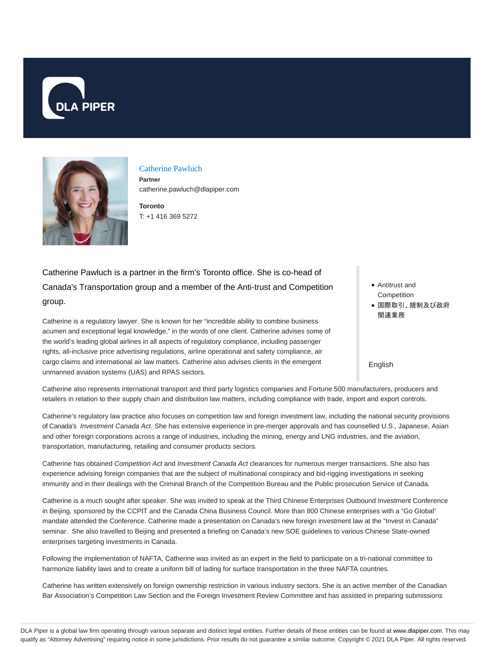



Catherine Pawluch

**Partner** catherine.pawluch@dlapiper.com

**Toronto** T: +1 416 369 5272

Catherine Pawluch is a partner in the firm's Toronto office. She is co-head of Canada's Transportation group and a member of the Anti-trust and Competition group.

Catherine is a regulatory lawyer. She is known for her "incredible ability to combine business acumen and exceptional legal knowledge," in the words of one client. Catherine advises some of the world's leading global airlines in all aspects of regulatory compliance, including passenger rights, all-inclusive price advertising regulations, airline operational and safety compliance, air cargo claims and international air law matters. Catherine also advises clients in the emergent unmanned aviation systems (UAS) and RPAS sectors.

Antitrust and **Competition** ● 国際取引、規制及び政府 関連業務

English

Catherine also represents international transport and third party logistics companies and Fortune 500 manufacturers, producers and retailers in relation to their supply chain and distribution law matters, including compliance with trade, import and export controls.

Catherine's regulatory law practice also focuses on competition law and foreign investment law, including the national security provisions of Canada's Investment Canada Act. She has extensive experience in pre-merger approvals and has counselled U.S., Japanese, Asian and other foreign corporations across a range of industries, including the mining, energy and LNG industries, and the aviation, transportation, manufacturing, retailing and consumer products sectors.

Catherine has obtained Competition Act and Investment Canada Act clearances for numerous merger transactions. She also has experience advising foreign companies that are the subject of multinational conspiracy and bid-rigging investigations in seeking immunity and in their dealings with the Criminal Branch of the Competition Bureau and the Public prosecution Service of Canada.

Catherine is a much sought after speaker. She was invited to speak at the Third Chinese Enterprises Outbound Investment Conference in Beijing, sponsored by the CCPIT and the Canada China Business Council. More than 800 Chinese enterprises with a "Go Global" mandate attended the Conference. Catherine made a presentation on Canada's new foreign investment law at the "Invest in Canada" seminar. She also travelled to Beijing and presented a briefing on Canada's new SOE guidelines to various Chinese State-owned enterprises targeting investments in Canada.

Following the implementation of NAFTA, Catherine was invited as an expert in the field to participate on a tri-national committee to harmonize liability laws and to create a uniform bill of lading for surface transportation in the three NAFTA countries.

Catherine has written extensively on foreign ownership restriction in various industry sectors. She is an active member of the Canadian Bar Association's Competition Law Section and the Foreign Investment Review Committee and has assisted in preparing submissions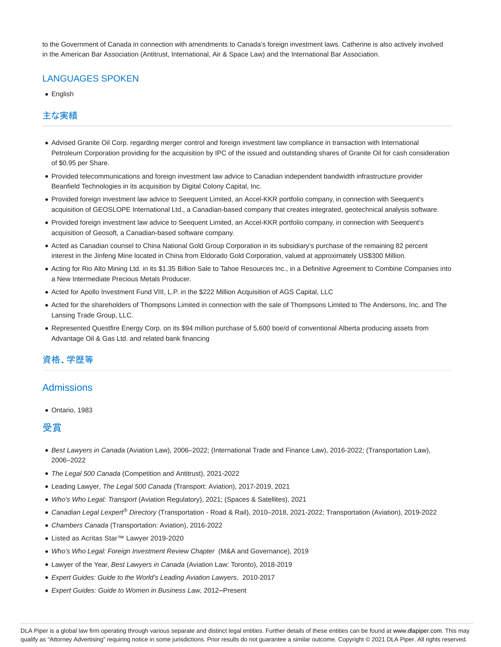to the Government of Canada in connection with amendments to Canada's foreign investment laws. Catherine is also actively involved in the American Bar Association (Antitrust, International, Air & Space Law) and the International Bar Association.

# LANGUAGES SPOKEN

• English

### 主な実績

- Advised Granite Oil Corp. regarding merger control and foreign investment law compliance in transaction with International Petroleum Corporation providing for the acquisition by IPC of the issued and outstanding shares of Granite Oil for cash consideration of \$0.95 per Share.
- Provided telecommunications and foreign investment law advice to Canadian independent bandwidth infrastructure provider Beanfield Technologies in its acquisition by Digital Colony Capital, Inc.
- Provided foreign investment law advice to Seequent Limited, an Accel-KKR portfolio company, in connection with Seequent's acquisition of GEOSLOPE International Ltd., a Canadian-based company that creates integrated, geotechnical analysis software.
- Provided foreign investment law advice to Seequent Limited, an Accel-KKR portfolio company, in connection with Seequent's acquisition of Geosoft, a Canadian-based software company.
- Acted as Canadian counsel to China National Gold Group Corporation in its subsidiary's purchase of the remaining 82 percent interest in the Jinfeng Mine located in China from Eldorado Gold Corporation, valued at approximately US\$300 Million.
- Acting for Rio Alto Mining Ltd. in its \$1.35 Billion Sale to Tahoe Resources Inc., in a Definitive Agreement to Combine Companies into a New Intermediate Precious Metals Producer.
- Acted for Apollo Investment Fund VIII, L.P. in the \$222 Million Acquisition of AGS Capital, LLC
- Acted for the shareholders of Thompsons Limited in connection with the sale of Thompsons Limited to The Andersons, Inc. and The Lansing Trade Group, LLC.
- Represented Questfire Energy Corp. on its \$94 million purchase of 5,600 boe/d of conventional Alberta producing assets from Advantage Oil & Gas Ltd. and related bank financing

# 資格、学歴等

# **Admissions**

Ontario, 1983

#### 受賞

- Best Lawyers in Canada (Aviation Law), 2006–2022; (International Trade and Finance Law), 2016-2022; (Transportation Law), 2006–2022
- The Legal 500 Canada (Competition and Antitrust), 2021-2022
- Leading Lawyer, The Legal 500 Canada (Transport: Aviation), 2017-2019, 2021
- Who's Who Legal: Transport (Aviation Regulatory), 2021; (Spaces & Satellites), 2021
- Canadian Legal Lexpert<sup>®</sup> Directory (Transportation Road & Rail), 2010-2018, 2021-2022; Transportation (Aviation), 2019-2022
- Chambers Canada (Transportation: Aviation), 2016-2022
- Listed as Acritas Star™ Lawyer 2019-2020
- Who's Who Legal: Foreign Investment Review Chapter (M&A and Governance), 2019
- Lawyer of the Year, Best Lawyers in Canada (Aviation Law: Toronto), 2018-2019
- Expert Guides: Guide to the World's Leading Aviation Lawyers, 2010-2017
- Expert Guides: Guide to Women in Business Law, 2012–Present